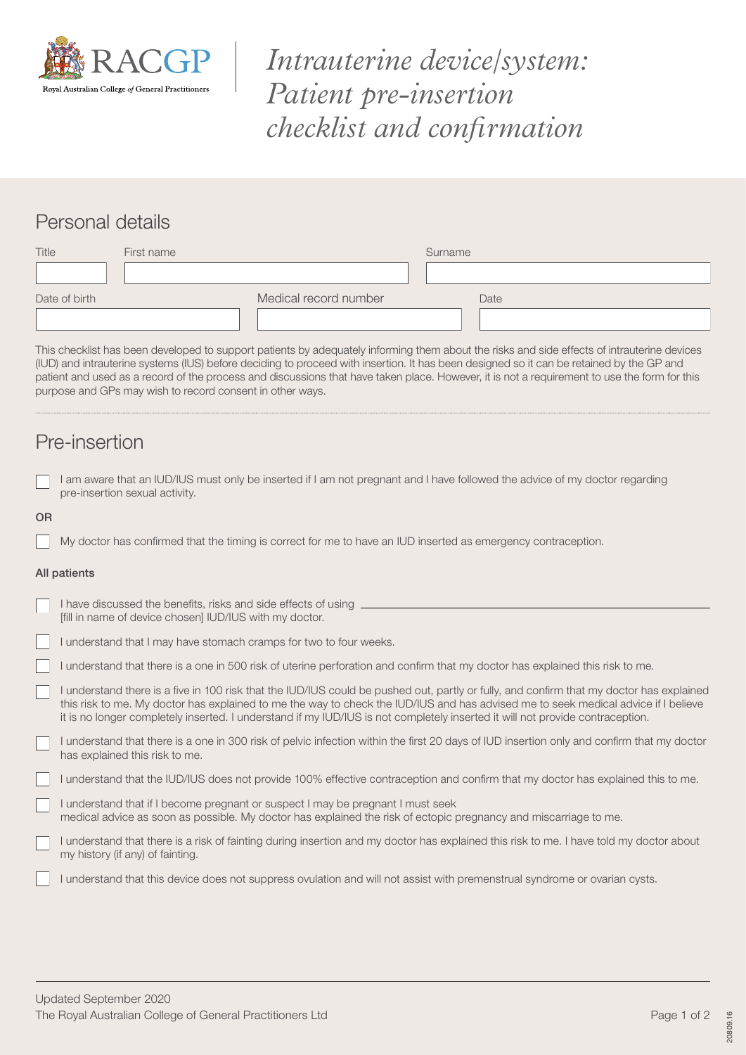

*Intrauterine device/system: Patient pre-insertion checklist and confirmation*

## Personal details

| Title         | First name |                       | Surname |      |
|---------------|------------|-----------------------|---------|------|
|               |            |                       |         |      |
| Date of birth |            | Medical record number |         | Date |
|               |            |                       |         |      |

This checklist has been developed to support patients by adequately informing them about the risks and side effects of intrauterine devices (IUD) and intrauterine systems (IUS) before deciding to proceed with insertion. It has been designed so it can be retained by the GP and patient and used as a record of the process and discussions that have taken place. However, it is not a requirement to use the form for this purpose and GPs may wish to record consent in other ways.

## Pre-insertion

|           | I am aware that an IUD/IUS must only be inserted if I am not pregnant and I have followed the advice of my doctor regarding<br>pre-insertion sexual activity.                                                                                                                                                                                                                                                 |
|-----------|---------------------------------------------------------------------------------------------------------------------------------------------------------------------------------------------------------------------------------------------------------------------------------------------------------------------------------------------------------------------------------------------------------------|
| <b>OR</b> |                                                                                                                                                                                                                                                                                                                                                                                                               |
|           | My doctor has confirmed that the timing is correct for me to have an IUD inserted as emergency contraception.                                                                                                                                                                                                                                                                                                 |
|           | All patients                                                                                                                                                                                                                                                                                                                                                                                                  |
|           | I have discussed the benefits, risks and side effects of using _<br>[fill in name of device chosen] IUD/IUS with my doctor.                                                                                                                                                                                                                                                                                   |
|           | I understand that I may have stomach cramps for two to four weeks.                                                                                                                                                                                                                                                                                                                                            |
|           | I understand that there is a one in 500 risk of uterine perforation and confirm that my doctor has explained this risk to me.                                                                                                                                                                                                                                                                                 |
|           | understand there is a five in 100 risk that the IUD/IUS could be pushed out, partly or fully, and confirm that my doctor has explained<br>this risk to me. My doctor has explained to me the way to check the IUD/IUS and has advised me to seek medical advice if I believe<br>it is no longer completely inserted. I understand if my IUD/IUS is not completely inserted it will not provide contraception. |
|           | understand that there is a one in 300 risk of pelvic infection within the first 20 days of IUD insertion only and confirm that my doctor<br>has explained this risk to me.                                                                                                                                                                                                                                    |
|           | I understand that the IUD/IUS does not provide 100% effective contraception and confirm that my doctor has explained this to me.                                                                                                                                                                                                                                                                              |
|           | understand that if I become pregnant or suspect I may be pregnant I must seek<br>medical advice as soon as possible. My doctor has explained the risk of ectopic pregnancy and miscarriage to me.                                                                                                                                                                                                             |
|           | I understand that there is a risk of fainting during insertion and my doctor has explained this risk to me. I have told my doctor about<br>my history (if any) of fainting.                                                                                                                                                                                                                                   |
|           | I understand that this device does not suppress ovulation and will not assist with premenstrual syndrome or ovarian cysts.                                                                                                                                                                                                                                                                                    |

20809.16

20809.16